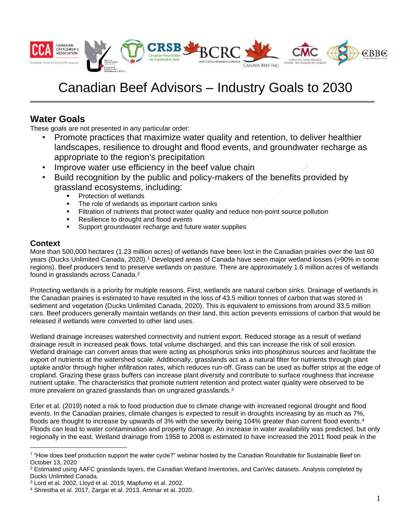

# Canadian Beef Advisors – Industry Goals to 2030

# **Water Goals**

These goals are not presented in any particular order:

- Promote practices that maximize water quality and retention, to deliver healthier landscapes, resilience to drought and flood events, and groundwater recharge as appropriate to the region's precipitation
- Improve water use efficiency in the beef value chain
- Build recognition by the public and policy-makers of the benefits provided by grassland ecosystems, including:
	- Protection of wetlands
	- The role of wetlands as important carbon sinks
	- **Example 1** Filtration of nutrients that protect water quality and reduce non-point source pollution
	- Resilience to drought and flood events
	- Support groundwater recharge and future water supplies

## **Context**

More than 500,000 hectares (1.23 million acres) of wetlands have been lost in the Canadian prairies over the last 60 years (Ducks Unlimited Canada, 2020). <sup>1</sup> Developed areas of Canada have seen major wetland losses (>90% in some regions). Beef producers tend to preserve wetlands on pasture. There are approximately 1.6 million acres of wetlands found in grasslands across Canada.<sup>2</sup>

Protecting wetlands is a priority for multiple reasons. First, wetlands are natural carbon sinks. Drainage of wetlands in the Canadian prairies is estimated to have resulted in the loss of 43.5 million tonnes of carbon that was stored in sediment and vegetation (Ducks Unlimited Canada, 2020). This is equivalent to emissions from around 33.5 million cars. Beef producers generally maintain wetlands on their land, this action prevents emissions of carbon that would be released if wetlands were converted to other land uses.

Wetland drainage increases watershed connectivity and nutrient export. Reduced storage as a result of wetland drainage result in increased peak flows, total volume discharged, and this can increase the risk of soil erosion. Wetland drainage can convert areas that were acting as phosphorus sinks into phosphorus sources and facilitate the export of nutrients at the watershed scale. Additionally, grasslands act as a natural filter for nutrients through plant uptake and/or through higher infiltration rates, which reduces run-off. Grass can be used as buffer strips at the edge of cropland. Grazing these grass buffers can increase plant diversity and contribute to surface roughness that increase nutrient uptake. The characteristics that promote nutrient retention and protect water quality were observed to be more prevalent on grazed grasslands than on ungrazed grasslands.<sup>3</sup>

Erler et al. (2019) noted a risk to food production due to climate change with increased regional drought and flood events. In the Canadian prairies, climate changes is expected to result in droughts increasing by as much as 7%, floods are thought to increase by upwards of 3% with the severity being 104% greater than current flood events.<sup>4</sup> Floods can lead to water contamination and property damage. An increase in water availability was predicted, but only regionally in the east. Wetland drainage from 1958 to 2008 is estimated to have increased the 2011 flood peak in the

<sup>&</sup>lt;sup>1</sup> "How does beef production support the water cycle?" webinar hosted by the Canadian Roundtable for Sustainable Beef on October 13, 2020

 $2$  Estimated using AAFC grasslands layers, the Canadian Wetland Inventories, and CanVec datasets. Analysis completed by Ducks Unlimited Canada.

<sup>3</sup> Lord et al. 2002, Lloyd et al. 2019, Mapfumo et al. 2002.

<sup>4</sup> Shrestha et al. 2017, Zargar et al. 2013, Ammar et al. 2020.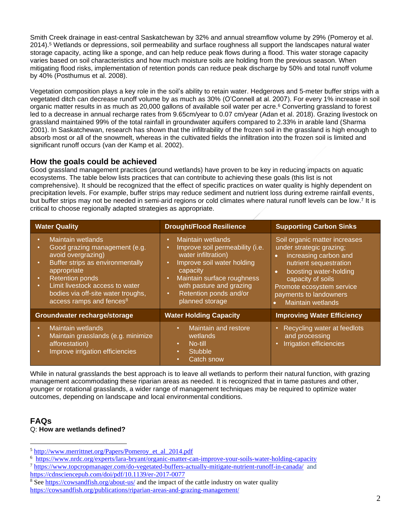Smith Creek drainage in east-central Saskatchewan by 32% and annual streamflow volume by 29% (Pomeroy et al. 2014). <sup>5</sup> Wetlands or depressions, soil permeability and surface roughness all support the landscapes natural water storage capacity, acting like a sponge, and can help reduce peak flows during a flood. This water storage capacity varies based on soil characteristics and how much moisture soils are holding from the previous season. When mitigating flood risks, implementation of retention ponds can reduce peak discharge by 50% and total runoff volume by 40% (Posthumus et al. 2008).

Vegetation composition plays a key role in the soil's ability to retain water. Hedgerows and 5-meter buffer strips with a vegetated ditch can decrease runoff volume by as much as 30% (O'Connell at al. 2007). For every 1% increase in soil organic matter results in as much as 20,000 gallons of available soil water per acre. <sup>6</sup> Converting grassland to forest led to a decrease in annual recharge rates from 9.65cm/year to 0.07 cm/year (Adan et al. 2018). Grazing livestock on grassland maintained 99% of the total rainfall in groundwater aquifers compared to 2.33% in arable land (Sharma 2001). In Saskatchewan, research has shown that the infiltrability of the frozen soil in the grassland is high enough to absorb most or all of the snowmelt, whereas in the cultivated fields the infiltration into the frozen soil is limited and significant runoff occurs (van der Kamp et al. 2002).

## **How the goals could be achieved**

Good grassland management practices (around wetlands) have proven to be key in reducing impacts on aquatic ecosystems. The table below lists practices that can contribute to achieving these goals (this list is not comprehensive). It should be recognized that the effect of specific practices on water quality is highly dependent on precipitation levels. For example, buffer strips may reduce sediment and nutrient loss during extreme rainfall events, but buffer strips may not be needed in semi-arid regions or cold climates where natural runoff levels can be low.<sup>7</sup> It is critical to choose regionally adapted strategies as appropriate.

| <b>Water Quality</b>                                                                                                                                                                                                                                                                                                                      | <b>Drought/Flood Resilience</b>                                                                                                                                                                                                                                                  | <b>Supporting Carbon Sinks</b>                                                                                                                                                                                                                                    |
|-------------------------------------------------------------------------------------------------------------------------------------------------------------------------------------------------------------------------------------------------------------------------------------------------------------------------------------------|----------------------------------------------------------------------------------------------------------------------------------------------------------------------------------------------------------------------------------------------------------------------------------|-------------------------------------------------------------------------------------------------------------------------------------------------------------------------------------------------------------------------------------------------------------------|
| Maintain wetlands<br>$\bullet$<br>Good grazing management (e.g.<br>$\bullet$<br>avoid overgrazing)<br>Buffer strips as environmentally<br>$\bullet$<br>appropriate<br><b>Retention ponds</b><br>$\bullet$<br>Limit livestock access to water<br>$\bullet$ .<br>bodies via off-site water troughs,<br>access ramps and fences <sup>8</sup> | Maintain wetlands<br>$\bullet$<br>Improve soil permeability (i.e.<br>water infiltration)<br>Improve soil water holding<br>$\bullet$<br>capacity<br>Maintain surface roughness<br>$\bullet$<br>with pasture and grazing<br>Retention ponds and/or<br>$\bullet$<br>planned storage | Soil organic matter increases<br>under strategic grazing;<br>increasing carbon and<br>$\bullet$<br>nutrient sequestration<br>boosting water-holding<br>$\bullet$<br>capacity of soils<br>Promote ecosystem service<br>payments to landowners<br>Maintain wetlands |
| Groundwater recharge/storage                                                                                                                                                                                                                                                                                                              | <b>Water Holding Capacity</b>                                                                                                                                                                                                                                                    | <b>Improving Water Efficiency</b>                                                                                                                                                                                                                                 |
| Maintain wetlands<br>$\bullet$<br>Maintain grasslands (e.g. minimize<br>$\bullet$<br>afforestation)<br>Improve irrigation efficiencies<br>$\bullet$                                                                                                                                                                                       | Maintain and restore<br>$\bullet$ .<br>wetlands<br>No-till<br>$\bullet$ .<br><b>Stubble</b><br>$\bullet$<br><b>Catch snow</b><br>٠                                                                                                                                               | Recycling water at feedlots<br>and processing<br><b>Irrigation efficiencies</b>                                                                                                                                                                                   |

While in natural grasslands the best approach is to leave all wetlands to perform their natural function, with grazing management accommodating these riparian areas as needed. It is recognized that in tame pastures and other, younger or rotational grasslands, a wider range of management techniques may be required to optimize water outcomes, depending on landscape and local environmental conditions.

#### **FAQs** Q: **How are wetlands defined?**

<sup>5</sup> [http://www.merrittnet.org/Papers/Pomeroy\\_et\\_al\\_2014.pdf](https://can01.safelinks.protection.outlook.com/?url=http%3A%2F%2Fwww.merrittnet.org%2FPapers%2FPomeroy_et_al_2014.pdf&data=04%7C01%7Ck_tapley%40ducks.ca%7C2a85942444de44cb99f908d8d9a27424%7Cb2bb27131bbb453dbdd8640c1565430e%7C0%7C0%7C637498639037770995%7CUnknown%7CTWFpbGZsb3d8eyJWIjoiMC4wLjAwMDAiLCJQIjoiV2luMzIiLCJBTiI6Ik1haWwiLCJXVCI6Mn0%3D%7C1000&sdata=eeAq2juv6kRPb0FHy2sj1vAyFxiJ3EskqJH0AKlwEBM%3D&reserved=0)

<sup>6</sup> <https://www.nrdc.org/experts/lara-bryant/organic-matter-can-improve-your-soils-water-holding-capacity>

<sup>7</sup> <https://www.topcropmanager.com/do-vegetated-buffers-actually-mitigate-nutrient-runoff-in-canada/> and <https://cdnsciencepub.com/doi/pdf/10.1139/er-2017-0077>

<sup>&</sup>lt;sup>8</sup> Se[e https://cowsandfish.org/about-us/](https://cowsandfish.org/about-us/) and the impact of the cattle industry on water quality [https://cowsandfish.org/publications/riparian-areas-and-grazing-management/](https://can01.safelinks.protection.outlook.com/?url=https%3A%2F%2Fcowsandfish.org%2Fpublications%2Friparian-areas-and-grazing-management%2F&data=04%7C01%7Ck_tapley%40ducks.ca%7C2a85942444de44cb99f908d8d9a27424%7Cb2bb27131bbb453dbdd8640c1565430e%7C0%7C0%7C637498639037760993%7CUnknown%7CTWFpbGZsb3d8eyJWIjoiMC4wLjAwMDAiLCJQIjoiV2luMzIiLCJBTiI6Ik1haWwiLCJXVCI6Mn0%3D%7C1000&sdata=cyGrefgeJq4OxKnNCPoJ8%2BM%2BeU8VUOa2oHgZ%2Ff7hOYQ%3D&reserved=0)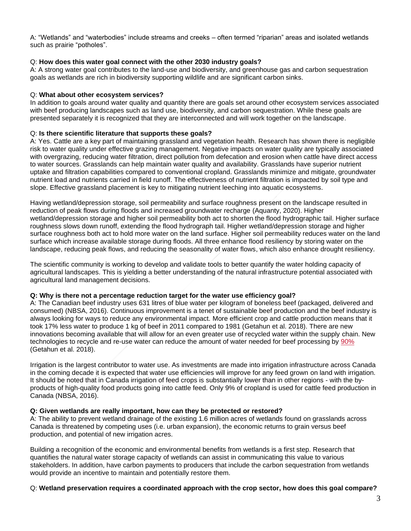A: "Wetlands" and "waterbodies" include streams and creeks – often termed "riparian" areas and isolated wetlands such as prairie "potholes".

#### Q: **How does this water goal connect with the other 2030 industry goals?**

A: A strong water goal contributes to the land-use and biodiversity, and greenhouse gas and carbon sequestration goals as wetlands are rich in biodiversity supporting wildlife and are significant carbon sinks.

#### Q: **What about other ecosystem services?**

In addition to goals around water quality and quantity there are goals set around other ecosystem services associated with beef producing landscapes such as land use, biodiversity, and carbon sequestration. While these goals are presented separately it is recognized that they are interconnected and will work together on the landscape.

#### Q: **Is there scientific literature that supports these goals?**

A: Yes. Cattle are a key part of maintaining grassland and vegetation health. Research has shown there is negligible risk to water quality under effective grazing management. Negative impacts on water quality are typically associated with overgrazing, reducing water filtration, direct pollution from defecation and erosion when cattle have direct access to water sources. Grasslands can help maintain water quality and availability. Grasslands have superior nutrient uptake and filtration capabilities compared to conventional cropland. Grasslands minimize and mitigate, groundwater nutrient load and nutrients carried in field runoff. The effectiveness of nutrient filtration is impacted by soil type and slope. Effective grassland placement is key to mitigating nutrient leeching into aquatic ecosystems.

Having wetland/depression storage, soil permeability and surface roughness present on the landscape resulted in reduction of peak flows during floods and increased groundwater recharge (Aquanty, 2020). Higher wetland/depression storage and higher soil permeability both act to shorten the flood hydrographic tail. Higher surface roughness slows down runoff, extending the flood hydrograph tail. Higher wetland/depression storage and higher surface roughness both act to hold more water on the land surface. Higher soil permeability reduces water on the land surface which increase available storage during floods. All three enhance flood resiliency by storing water on the landscape, reducing peak flows, and reducing the seasonality of water flows, which also enhance drought resiliency.

The scientific community is working to develop and validate tools to better quantify the water holding capacity of agricultural landscapes. This is yielding a better understanding of the natural infrastructure potential associated with agricultural land management decisions.

#### **Q: Why is there not a percentage reduction target for the water use efficiency goal?**

A: The Canadian beef industry uses 631 litres of blue water per kilogram of boneless beef (packaged, delivered and consumed) (NBSA, 2016). Continuous improvement is a tenet of sustainable beef production and the beef industry is always looking for ways to reduce any environmental impact. More efficient crop and cattle production means that it took 17% less water to produce 1 kg of beef in 2011 compared to 1981 (Getahun et al. 2018). There are new innovations becoming available that will allow for an even greater use of recycled water within the supply chain. New technologies to recycle and re-use water can reduce the amount of water needed for beef processing by [90%](https://www.sciencedirect.com/science/article/pii/S0048969717332527?via%3Dihub) (Getahun et al. 2018).

Irrigation is the largest contributor to water use. As investments are made into irrigation infrastructure across Canada in the coming decade it is expected that water use efficiencies will improve for any feed grown on land with irrigation. It should be noted that in Canada irrigation of feed crops is substantially lower than in other regions - with the byproducts of high-quality food products going into cattle feed. Only 9% of cropland is used for cattle feed production in Canada (NBSA, 2016).

#### **Q: Given wetlands are really important, how can they be protected or restored?**

A: The ability to prevent wetland drainage of the existing 1.6 million acres of wetlands found on grasslands across Canada is threatened by competing uses (i.e. urban expansion), the economic returns to grain versus beef production, and potential of new irrigation acres.

Building a recognition of the economic and environmental benefits from wetlands is a first step. Research that quantifies the natural water storage capacity of wetlands can assist in communicating this value to various stakeholders. In addition, have carbon payments to producers that include the carbon sequestration from wetlands would provide an incentive to maintain and potentially restore them.

#### Q: **Wetland preservation requires a coordinated approach with the crop sector, how does this goal compare?**